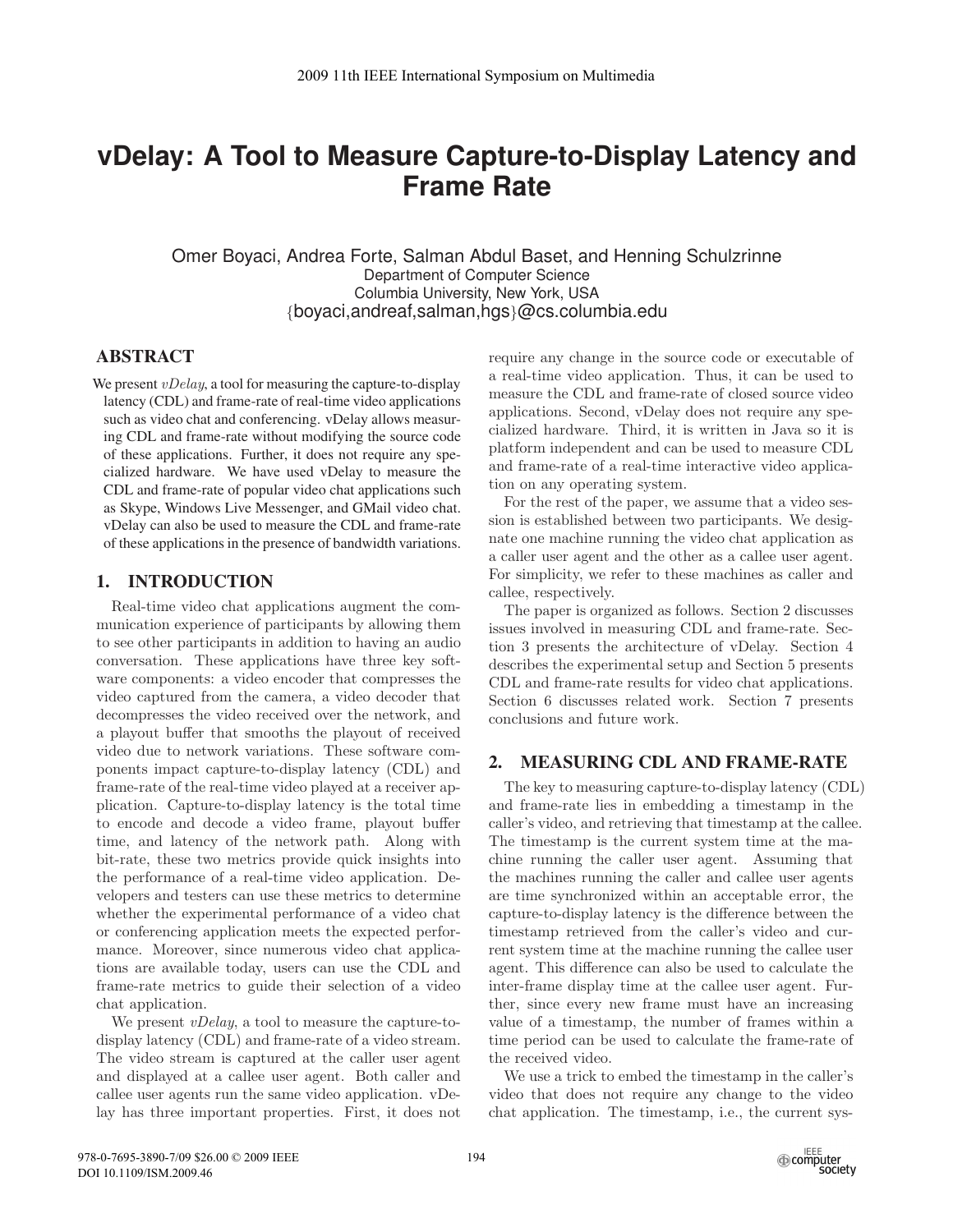# **vDelay: A Tool to Measure Capture-to-Display Latency and Frame Rate**

Omer Boyaci, Andrea Forte, Salman Abdul Baset, and Henning Schulzrinne Department of Computer Science Columbia University, New York, USA {boyaci,andreaf,salman,hgs}@cs.columbia.edu

## ABSTRACT

We present  $vDelay$ , a tool for measuring the capture-to-display latency (CDL) and frame-rate of real-time video applications such as video chat and conferencing. vDelay allows measuring CDL and frame-rate without modifying the source code of these applications. Further, it does not require any specialized hardware. We have used vDelay to measure the CDL and frame-rate of popular video chat applications such as Skype, Windows Live Messenger, and GMail video chat. vDelay can also be used to measure the CDL and frame-rate of these applications in the presence of bandwidth variations.

# 1. INTRODUCTION

Real-time video chat applications augment the communication experience of participants by allowing them to see other participants in addition to having an audio conversation. These applications have three key software components: a video encoder that compresses the video captured from the camera, a video decoder that decompresses the video received over the network, and a playout buffer that smooths the playout of received video due to network variations. These software components impact capture-to-display latency (CDL) and frame-rate of the real-time video played at a receiver application. Capture-to-display latency is the total time to encode and decode a video frame, playout buffer time, and latency of the network path. Along with bit-rate, these two metrics provide quick insights into the performance of a real-time video application. Developers and testers can use these metrics to determine whether the experimental performance of a video chat or conferencing application meets the expected performance. Moreover, since numerous video chat applications are available today, users can use the CDL and frame-rate metrics to guide their selection of a video chat application.

We present *vDelay*, a tool to measure the capture-todisplay latency (CDL) and frame-rate of a video stream. The video stream is captured at the caller user agent and displayed at a callee user agent. Both caller and callee user agents run the same video application. vDelay has three important properties. First, it does not

require any change in the source code or executable of a real-time video application. Thus, it can be used to measure the CDL and frame-rate of closed source video applications. Second, vDelay does not require any specialized hardware. Third, it is written in Java so it is platform independent and can be used to measure CDL and frame-rate of a real-time interactive video application on any operating system.

For the rest of the paper, we assume that a video session is established between two participants. We designate one machine running the video chat application as a caller user agent and the other as a callee user agent. For simplicity, we refer to these machines as caller and callee, respectively.

The paper is organized as follows. Section 2 discusses issues involved in measuring CDL and frame-rate. Section 3 presents the architecture of vDelay. Section 4 describes the experimental setup and Section 5 presents CDL and frame-rate results for video chat applications. Section 6 discusses related work. Section 7 presents conclusions and future work.

# 2. MEASURING CDL AND FRAME-RATE

The key to measuring capture-to-display latency (CDL) and frame-rate lies in embedding a timestamp in the caller's video, and retrieving that timestamp at the callee. The timestamp is the current system time at the machine running the caller user agent. Assuming that the machines running the caller and callee user agents are time synchronized within an acceptable error, the capture-to-display latency is the difference between the timestamp retrieved from the caller's video and current system time at the machine running the callee user agent. This difference can also be used to calculate the inter-frame display time at the callee user agent. Further, since every new frame must have an increasing value of a timestamp, the number of frames within a time period can be used to calculate the frame-rate of the received video.

We use a trick to embed the timestamp in the caller's video that does not require any change to the video chat application. The timestamp, i.e., the current sys-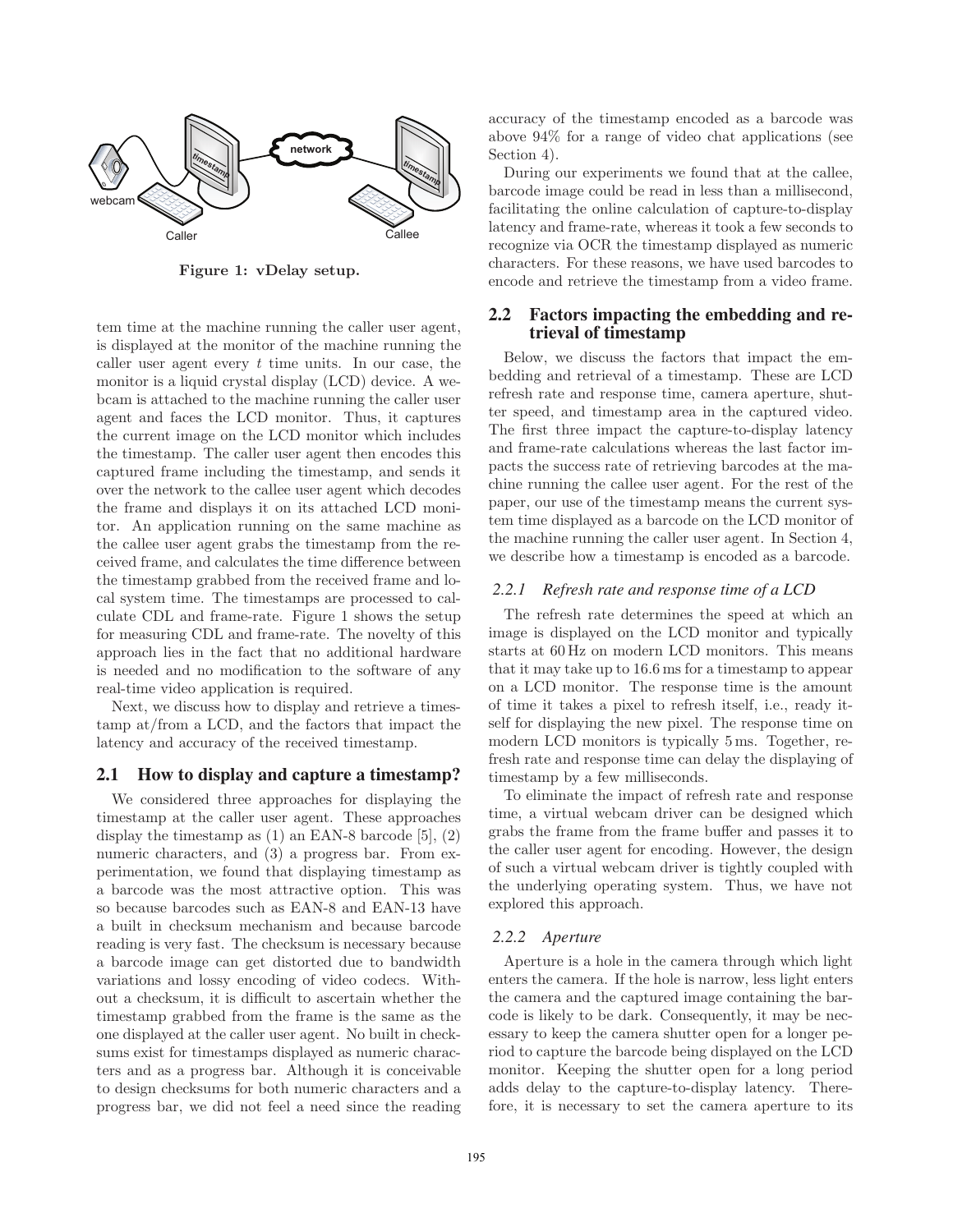

Figure 1: vDelay setup.

tem time at the machine running the caller user agent, is displayed at the monitor of the machine running the caller user agent every t time units. In our case, the monitor is a liquid crystal display (LCD) device. A webcam is attached to the machine running the caller user agent and faces the LCD monitor. Thus, it captures the current image on the LCD monitor which includes the timestamp. The caller user agent then encodes this captured frame including the timestamp, and sends it over the network to the callee user agent which decodes the frame and displays it on its attached LCD monitor. An application running on the same machine as the callee user agent grabs the timestamp from the received frame, and calculates the time difference between the timestamp grabbed from the received frame and local system time. The timestamps are processed to calculate CDL and frame-rate. Figure 1 shows the setup for measuring CDL and frame-rate. The novelty of this approach lies in the fact that no additional hardware is needed and no modification to the software of any real-time video application is required.

Next, we discuss how to display and retrieve a timestamp at/from a LCD, and the factors that impact the latency and accuracy of the received timestamp.

#### 2.1 How to display and capture a timestamp?

We considered three approaches for displaying the timestamp at the caller user agent. These approaches display the timestamp as  $(1)$  an EAN-8 barcode [5],  $(2)$ numeric characters, and (3) a progress bar. From experimentation, we found that displaying timestamp as a barcode was the most attractive option. This was so because barcodes such as EAN-8 and EAN-13 have a built in checksum mechanism and because barcode reading is very fast. The checksum is necessary because a barcode image can get distorted due to bandwidth variations and lossy encoding of video codecs. Without a checksum, it is difficult to ascertain whether the timestamp grabbed from the frame is the same as the one displayed at the caller user agent. No built in checksums exist for timestamps displayed as numeric characters and as a progress bar. Although it is conceivable to design checksums for both numeric characters and a progress bar, we did not feel a need since the reading

accuracy of the timestamp encoded as a barcode was above 94% for a range of video chat applications (see Section 4).

During our experiments we found that at the callee, barcode image could be read in less than a millisecond, facilitating the online calculation of capture-to-display latency and frame-rate, whereas it took a few seconds to recognize via OCR the timestamp displayed as numeric characters. For these reasons, we have used barcodes to encode and retrieve the timestamp from a video frame.

## 2.2 Factors impacting the embedding and retrieval of timestamp

Below, we discuss the factors that impact the embedding and retrieval of a timestamp. These are LCD refresh rate and response time, camera aperture, shutter speed, and timestamp area in the captured video. The first three impact the capture-to-display latency and frame-rate calculations whereas the last factor impacts the success rate of retrieving barcodes at the machine running the callee user agent. For the rest of the paper, our use of the timestamp means the current system time displayed as a barcode on the LCD monitor of the machine running the caller user agent. In Section 4, we describe how a timestamp is encoded as a barcode.

#### *2.2.1 Refresh rate and response time of a LCD*

The refresh rate determines the speed at which an image is displayed on the LCD monitor and typically starts at 60 Hz on modern LCD monitors. This means that it may take up to 16.6 ms for a timestamp to appear on a LCD monitor. The response time is the amount of time it takes a pixel to refresh itself, i.e., ready itself for displaying the new pixel. The response time on modern LCD monitors is typically 5ms. Together, refresh rate and response time can delay the displaying of timestamp by a few milliseconds.

To eliminate the impact of refresh rate and response time, a virtual webcam driver can be designed which grabs the frame from the frame buffer and passes it to the caller user agent for encoding. However, the design of such a virtual webcam driver is tightly coupled with the underlying operating system. Thus, we have not explored this approach.

## *2.2.2 Aperture*

Aperture is a hole in the camera through which light enters the camera. If the hole is narrow, less light enters the camera and the captured image containing the barcode is likely to be dark. Consequently, it may be necessary to keep the camera shutter open for a longer period to capture the barcode being displayed on the LCD monitor. Keeping the shutter open for a long period adds delay to the capture-to-display latency. Therefore, it is necessary to set the camera aperture to its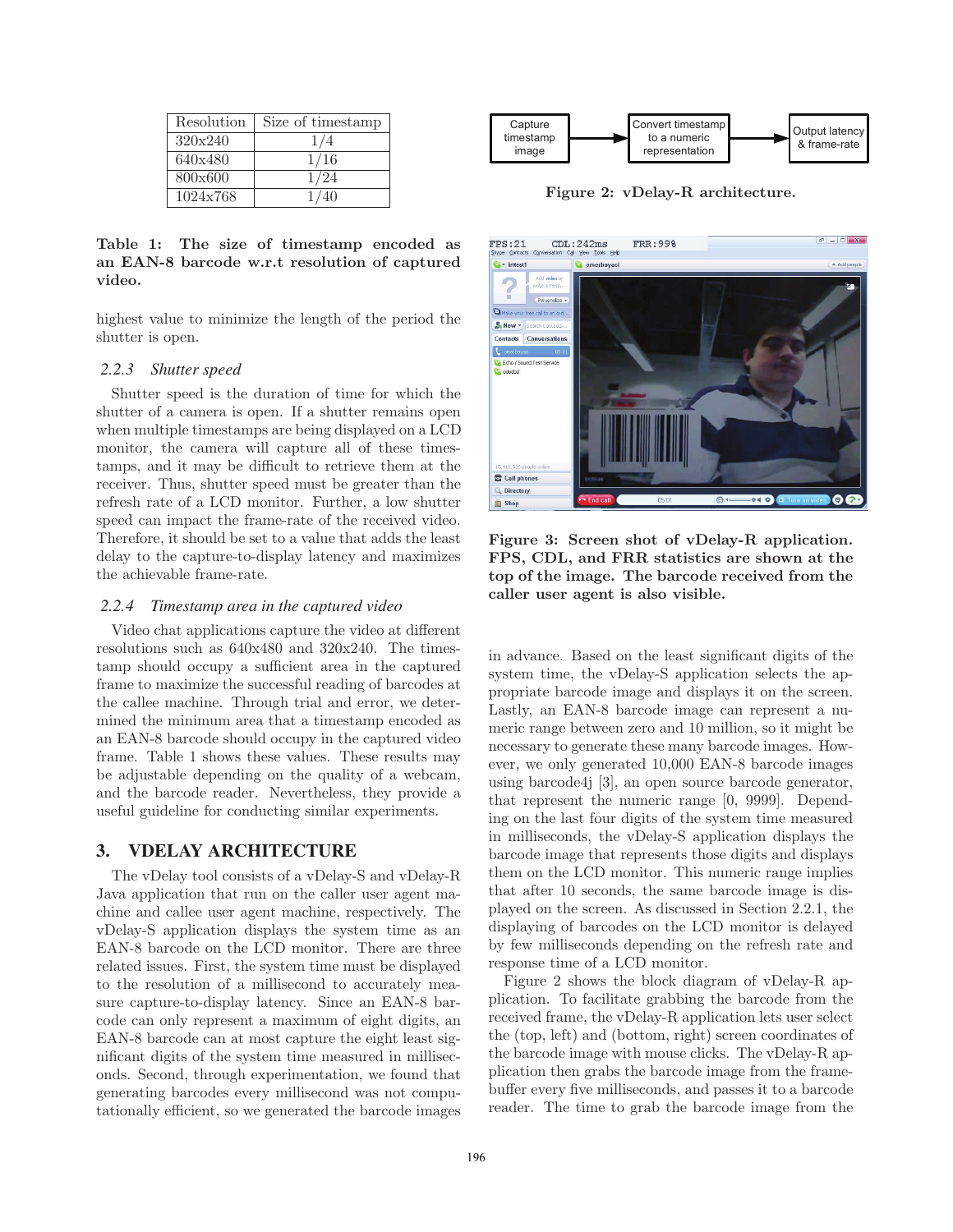| Resolution | Size of timestamp |
|------------|-------------------|
| 320x240    | 1/4               |
| 640x480    | 1/16              |
| 800x600    | 1/24              |
| 1024x768   | 1/40              |

Table 1: The size of timestamp encoded as an EAN-8 barcode w.r.t resolution of captured video.

highest value to minimize the length of the period the shutter is open.

#### *2.2.3 Shutter speed*

Shutter speed is the duration of time for which the shutter of a camera is open. If a shutter remains open when multiple timestamps are being displayed on a LCD monitor, the camera will capture all of these timestamps, and it may be difficult to retrieve them at the receiver. Thus, shutter speed must be greater than the refresh rate of a LCD monitor. Further, a low shutter speed can impact the frame-rate of the received video. Therefore, it should be set to a value that adds the least delay to the capture-to-display latency and maximizes the achievable frame-rate.

#### *2.2.4 Timestamp area in the captured video*

Video chat applications capture the video at different resolutions such as 640x480 and 320x240. The timestamp should occupy a sufficient area in the captured frame to maximize the successful reading of barcodes at the callee machine. Through trial and error, we determined the minimum area that a timestamp encoded as an EAN-8 barcode should occupy in the captured video frame. Table 1 shows these values. These results may be adjustable depending on the quality of a webcam, and the barcode reader. Nevertheless, they provide a useful guideline for conducting similar experiments.

## 3. VDELAY ARCHITECTURE

The vDelay tool consists of a vDelay-S and vDelay-R Java application that run on the caller user agent machine and callee user agent machine, respectively. The vDelay-S application displays the system time as an EAN-8 barcode on the LCD monitor. There are three related issues. First, the system time must be displayed to the resolution of a millisecond to accurately measure capture-to-display latency. Since an EAN-8 barcode can only represent a maximum of eight digits, an EAN-8 barcode can at most capture the eight least significant digits of the system time measured in milliseconds. Second, through experimentation, we found that generating barcodes every millisecond was not computationally efficient, so we generated the barcode images



Figure 2: vDelay-R architecture.



Figure 3: Screen shot of vDelay-R application. FPS, CDL, and FRR statistics are shown at the top of the image. The barcode received from the caller user agent is also visible.

in advance. Based on the least significant digits of the system time, the vDelay-S application selects the appropriate barcode image and displays it on the screen. Lastly, an EAN-8 barcode image can represent a numeric range between zero and 10 million, so it might be necessary to generate these many barcode images. However, we only generated 10,000 EAN-8 barcode images using barcode4j [3], an open source barcode generator, that represent the numeric range [0, 9999]. Depending on the last four digits of the system time measured in milliseconds, the vDelay-S application displays the barcode image that represents those digits and displays them on the LCD monitor. This numeric range implies that after 10 seconds, the same barcode image is displayed on the screen. As discussed in Section 2.2.1, the displaying of barcodes on the LCD monitor is delayed by few milliseconds depending on the refresh rate and response time of a LCD monitor.

Figure 2 shows the block diagram of vDelay-R application. To facilitate grabbing the barcode from the received frame, the vDelay-R application lets user select the (top, left) and (bottom, right) screen coordinates of the barcode image with mouse clicks. The vDelay-R application then grabs the barcode image from the framebuffer every five milliseconds, and passes it to a barcode reader. The time to grab the barcode image from the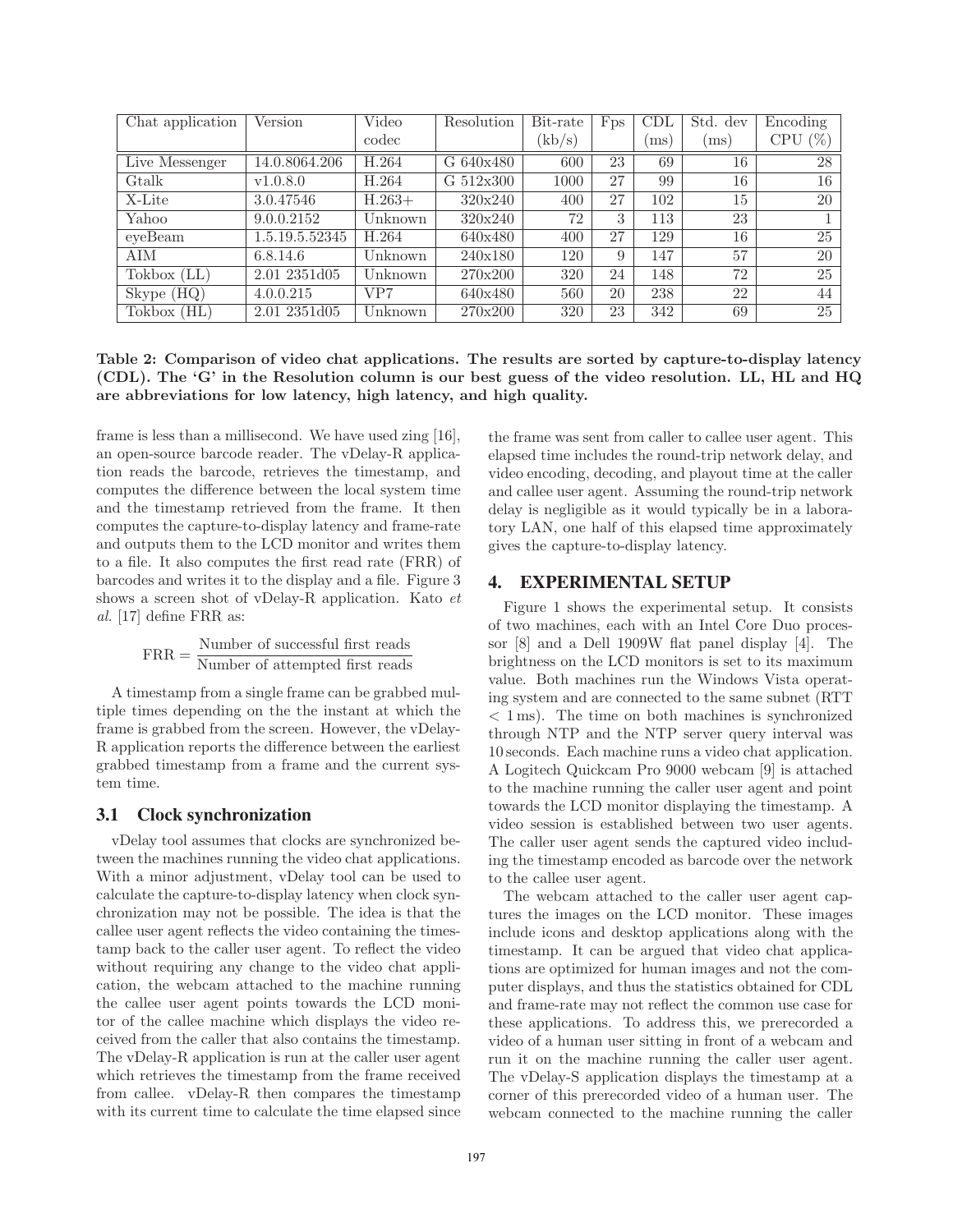| Chat application | Version        | Video              | Resolution | Bit-rate | Fps | <b>CDL</b> | Std. dev | Encoding                     |
|------------------|----------------|--------------------|------------|----------|-----|------------|----------|------------------------------|
|                  |                | codec              |            | (kb/s)   |     | ms         | (ms)     | $(\% )$<br>$_{\mathrm{CPU}}$ |
| Live Messenger   | 14.0.8064.206  | $\overline{H}.264$ | G 640x480  | 600      | 23  | 69         | 16       | 28                           |
| Gtalk            | v1.0.8.0       | H.264              | G 512x300  | 1000     | 27  | 99         | 16       | 16                           |
| X-Lite           | 3.0.47546      | $H.263+$           | 320x240    | 400      | 27  | 102        | 15       | 20                           |
| Yahoo            | 9.0.0.2152     | Unknown            | 320x240    | 72       | 3   | 113        | 23       |                              |
| eveBeam          | 1.5.19.5.52345 | H.264              | 640x480    | 400      | 27  | 129        | 16       | 25                           |
| AIM              | 6.8.14.6       | Unknown            | 240x180    | 120      | 9   | 147        | 57       | 20                           |
| Tokbox (LL)      | 2.01 2351d05   | Unknown            | 270x200    | 320      | 24  | 148        | 72       | 25                           |
| Skype(HQ)        | 4.0.0.215      | VP7                | 640x480    | 560      | 20  | 238        | 22       | 44                           |
| HL)<br>Tokbox    | 2.01 2351d05   | Unknown            | 270x200    | 320      | 23  | 342        | 69       | 25                           |

Table 2: Comparison of video chat applications. The results are sorted by capture-to-display latency (CDL). The 'G' in the Resolution column is our best guess of the video resolution. LL, HL and HQ are abbreviations for low latency, high latency, and high quality.

frame is less than a millisecond. We have used zing [16], an open-source barcode reader. The vDelay-R application reads the barcode, retrieves the timestamp, and computes the difference between the local system time and the timestamp retrieved from the frame. It then computes the capture-to-display latency and frame-rate and outputs them to the LCD monitor and writes them to a file. It also computes the first read rate (FRR) of barcodes and writes it to the display and a file. Figure 3 shows a screen shot of vDelay-R application. Kato et al. [17] define FRR as:

$$
FRR = \frac{Number\ of\ successful\ first\ reads}{Number\ of\ attempted\ first\ reads}
$$

A timestamp from a single frame can be grabbed multiple times depending on the the instant at which the frame is grabbed from the screen. However, the vDelay-R application reports the difference between the earliest grabbed timestamp from a frame and the current system time.

#### 3.1 Clock synchronization

vDelay tool assumes that clocks are synchronized between the machines running the video chat applications. With a minor adjustment, vDelay tool can be used to calculate the capture-to-display latency when clock synchronization may not be possible. The idea is that the callee user agent reflects the video containing the timestamp back to the caller user agent. To reflect the video without requiring any change to the video chat application, the webcam attached to the machine running the callee user agent points towards the LCD monitor of the callee machine which displays the video received from the caller that also contains the timestamp. The vDelay-R application is run at the caller user agent which retrieves the timestamp from the frame received from callee. vDelay-R then compares the timestamp with its current time to calculate the time elapsed since

the frame was sent from caller to callee user agent. This elapsed time includes the round-trip network delay, and video encoding, decoding, and playout time at the caller and callee user agent. Assuming the round-trip network delay is negligible as it would typically be in a laboratory LAN, one half of this elapsed time approximately gives the capture-to-display latency.

## 4. EXPERIMENTAL SETUP

Figure 1 shows the experimental setup. It consists of two machines, each with an Intel Core Duo processor [8] and a Dell 1909W flat panel display [4]. The brightness on the LCD monitors is set to its maximum value. Both machines run the Windows Vista operating system and are connected to the same subnet (RTT < 1ms). The time on both machines is synchronized through NTP and the NTP server query interval was 10 seconds. Each machine runs a video chat application. A Logitech Quickcam Pro 9000 webcam [9] is attached to the machine running the caller user agent and point towards the LCD monitor displaying the timestamp. A video session is established between two user agents. The caller user agent sends the captured video including the timestamp encoded as barcode over the network to the callee user agent.

The webcam attached to the caller user agent captures the images on the LCD monitor. These images include icons and desktop applications along with the timestamp. It can be argued that video chat applications are optimized for human images and not the computer displays, and thus the statistics obtained for CDL and frame-rate may not reflect the common use case for these applications. To address this, we prerecorded a video of a human user sitting in front of a webcam and run it on the machine running the caller user agent. The vDelay-S application displays the timestamp at a corner of this prerecorded video of a human user. The webcam connected to the machine running the caller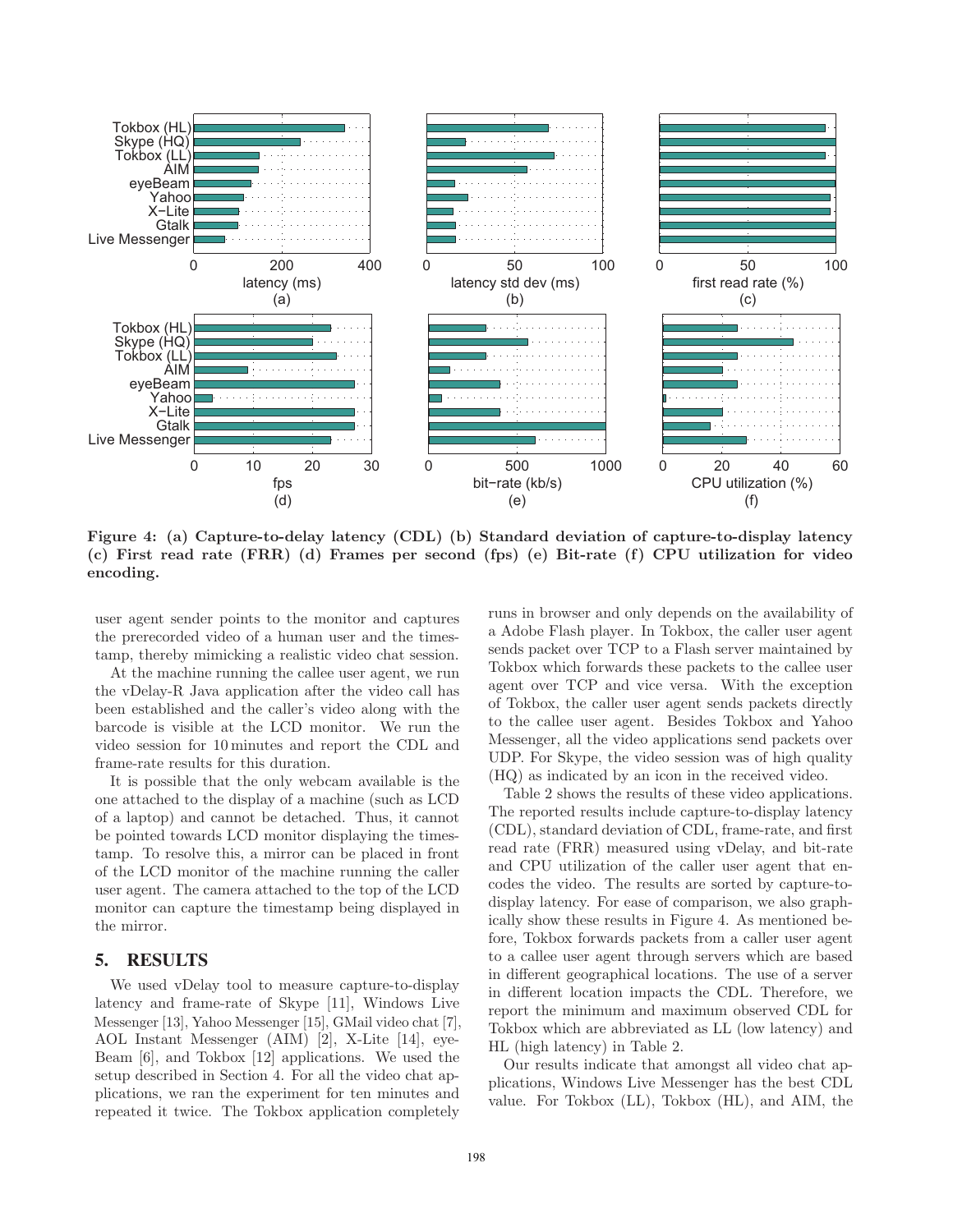

Figure 4: (a) Capture-to-delay latency (CDL) (b) Standard deviation of capture-to-display latency (c) First read rate (FRR) (d) Frames per second (fps) (e) Bit-rate (f) CPU utilization for video encoding.

user agent sender points to the monitor and captures the prerecorded video of a human user and the timestamp, thereby mimicking a realistic video chat session.

At the machine running the callee user agent, we run the vDelay-R Java application after the video call has been established and the caller's video along with the barcode is visible at the LCD monitor. We run the video session for 10minutes and report the CDL and frame-rate results for this duration.

It is possible that the only webcam available is the one attached to the display of a machine (such as LCD of a laptop) and cannot be detached. Thus, it cannot be pointed towards LCD monitor displaying the timestamp. To resolve this, a mirror can be placed in front of the LCD monitor of the machine running the caller user agent. The camera attached to the top of the LCD monitor can capture the timestamp being displayed in the mirror.

## 5. RESULTS

We used vDelay tool to measure capture-to-display latency and frame-rate of Skype [11], Windows Live Messenger [13], Yahoo Messenger [15], GMail video chat [7], AOL Instant Messenger (AIM) [2], X-Lite [14], eye-Beam [6], and Tokbox [12] applications. We used the setup described in Section 4. For all the video chat applications, we ran the experiment for ten minutes and repeated it twice. The Tokbox application completely

runs in browser and only depends on the availability of a Adobe Flash player. In Tokbox, the caller user agent sends packet over TCP to a Flash server maintained by Tokbox which forwards these packets to the callee user agent over TCP and vice versa. With the exception of Tokbox, the caller user agent sends packets directly to the callee user agent. Besides Tokbox and Yahoo Messenger, all the video applications send packets over UDP. For Skype, the video session was of high quality (HQ) as indicated by an icon in the received video.

Table 2 shows the results of these video applications. The reported results include capture-to-display latency (CDL), standard deviation of CDL, frame-rate, and first read rate (FRR) measured using vDelay, and bit-rate and CPU utilization of the caller user agent that encodes the video. The results are sorted by capture-todisplay latency. For ease of comparison, we also graphically show these results in Figure 4. As mentioned before, Tokbox forwards packets from a caller user agent to a callee user agent through servers which are based in different geographical locations. The use of a server in different location impacts the CDL. Therefore, we report the minimum and maximum observed CDL for Tokbox which are abbreviated as LL (low latency) and HL (high latency) in Table 2.

Our results indicate that amongst all video chat applications, Windows Live Messenger has the best CDL value. For Tokbox (LL), Tokbox (HL), and AIM, the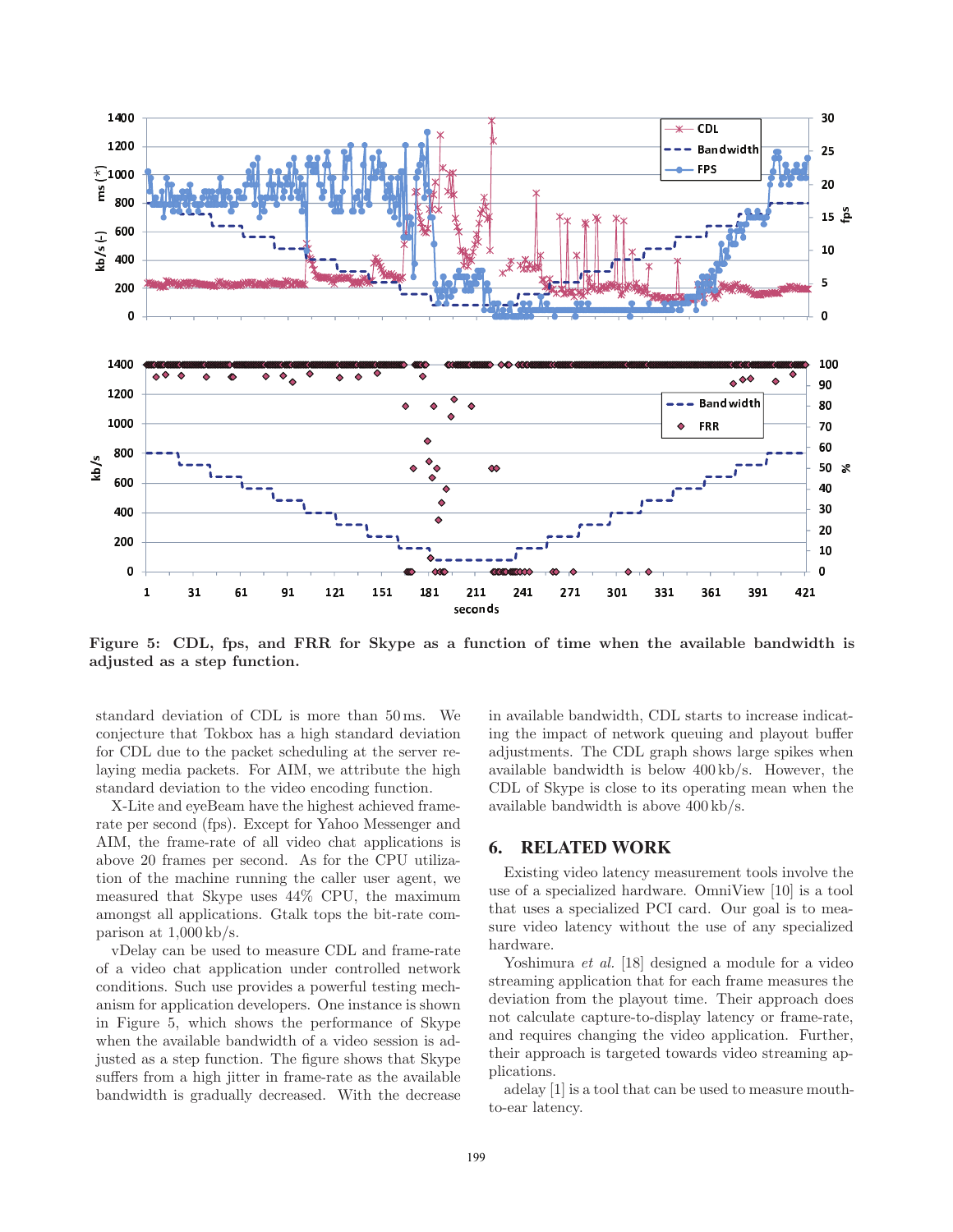

Figure 5: CDL, fps, and FRR for Skype as a function of time when the available bandwidth is adjusted as a step function.

standard deviation of CDL is more than 50 ms. We conjecture that Tokbox has a high standard deviation for CDL due to the packet scheduling at the server relaying media packets. For AIM, we attribute the high standard deviation to the video encoding function.

X-Lite and eyeBeam have the highest achieved framerate per second (fps). Except for Yahoo Messenger and AIM, the frame-rate of all video chat applications is above 20 frames per second. As for the CPU utilization of the machine running the caller user agent, we measured that Skype uses 44% CPU, the maximum amongst all applications. Gtalk tops the bit-rate comparison at 1,000 kb/s.

vDelay can be used to measure CDL and frame-rate of a video chat application under controlled network conditions. Such use provides a powerful testing mechanism for application developers. One instance is shown in Figure 5, which shows the performance of Skype when the available bandwidth of a video session is adjusted as a step function. The figure shows that Skype suffers from a high jitter in frame-rate as the available bandwidth is gradually decreased. With the decrease in available bandwidth, CDL starts to increase indicating the impact of network queuing and playout buffer adjustments. The CDL graph shows large spikes when available bandwidth is below 400 kb/s. However, the CDL of Skype is close to its operating mean when the available bandwidth is above 400 kb/s.

## 6. RELATED WORK

Existing video latency measurement tools involve the use of a specialized hardware. OmniView [10] is a tool that uses a specialized PCI card. Our goal is to measure video latency without the use of any specialized hardware.

Yoshimura *et al.* [18] designed a module for a video streaming application that for each frame measures the deviation from the playout time. Their approach does not calculate capture-to-display latency or frame-rate, and requires changing the video application. Further, their approach is targeted towards video streaming applications.

adelay [1] is a tool that can be used to measure mouthto-ear latency.